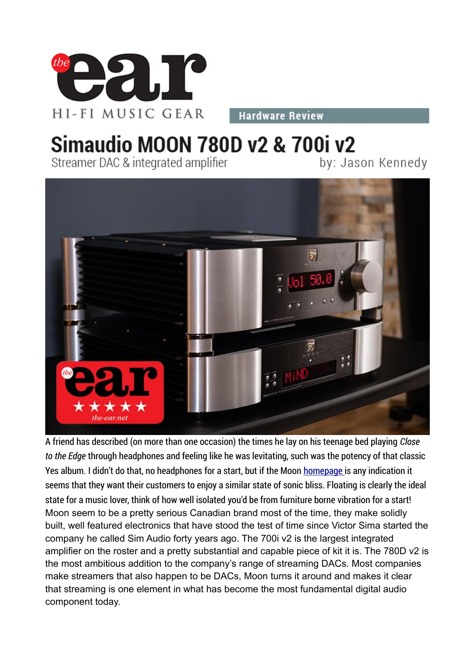

**Hardware Review** 

## **Simaudio MOON 780D v2 & 700i v2**

Streamer DAC & integrated amplifier

by: Jason Kennedy



A friend has described (on more than one occasion) the times he lay on his teenage bed playing *Close* to the Edge through headphones and feeling like he was levitating, such was the potency of that classic Yes album. I didn't do that, no headphones for a start, but if the Moon homepage is any indication it seems that they want their customers to enjoy a similar state of sonic bliss. Floating is clearly the ideal state for a music lover, think of how well isolated you'd be from furniture borne vibration for a start! Moon seem to be a pretty serious Canadian brand most of the time, they make solidly built, well featured electronics that have stood the test of time since Victor Sima started the company he called Sim Audio forty years ago. The 700i v2 is the largest integrated amplifier on the roster and a pretty substantial and capable piece of kit it is. The 780D v2 is the most ambitious addition to the company's range of streaming DACs. Most companies make streamers that also happen to be DACs, Moon turns it around and makes it clear that streaming is one element in what has become the most fundamental digital audio component today.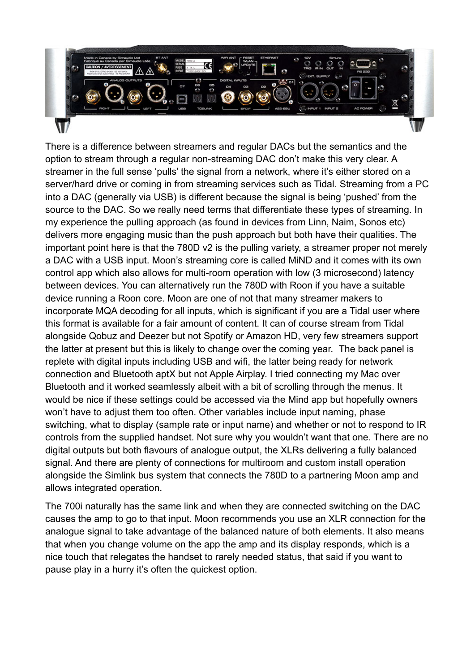

There is a difference between streamers and regular DACs but the semantics and the option to stream through a regular non-streaming DAC don't make this very clear. A streamer in the full sense 'pulls' the signal from a network, where it's either stored on a server/hard drive or coming in from streaming services such as Tidal. Streaming from a PC into a DAC (generally via USB) is different because the signal is being 'pushed' from the source to the DAC. So we really need terms that differentiate these types of streaming. In my experience the pulling approach (as found in devices from Linn, Naim, Sonos etc) delivers more engaging music than the push approach but both have their qualities. The important point here is that the 780D v2 is the pulling variety, a streamer proper not merely a DAC with a USB input. Moon's streaming core is called MiND and it comes with its own control app which also allows for multi-room operation with low (3 microsecond) latency between devices. You can alternatively run the 780D with Roon if you have a suitable device running a Roon core. Moon are one of not that many streamer makers to incorporate MQA decoding for all inputs, which is significant if you are a Tidal user where this format is available for a fair amount of content. It can of course stream from Tidal alongside Qobuz and Deezer but not Spotify or Amazon HD, very few streamers support the latter at present but this is likely to change over the coming year. The back panel is replete with digital inputs including USB and wifi, the latter being ready for network connection and Bluetooth aptX but not Apple Airplay. I tried connecting my Mac over Bluetooth and it worked seamlessly albeit with a bit of scrolling through the menus. It would be nice if these settings could be accessed via the Mind app but hopefully owners won't have to adjust them too often. Other variables include input naming, phase switching, what to display (sample rate or input name) and whether or not to respond to IR controls from the supplied handset. Not sure why you wouldn't want that one. There are no digital outputs but both flavours of analogue output, the XLRs delivering a fully balanced signal. And there are plenty of connections for multiroom and custom install operation alongside the Simlink bus system that connects the 780D to a partnering Moon amp and allows integrated operation.

The 700i naturally has the same link and when they are connected switching on the DAC causes the amp to go to that input. Moon recommends you use an XLR connection for the analogue signal to take advantage of the balanced nature of both elements. It also means that when you change volume on the app the amp and its display responds, which is a nice touch that relegates the handset to rarely needed status, that said if you want to pause play in a hurry it's often the quickest option.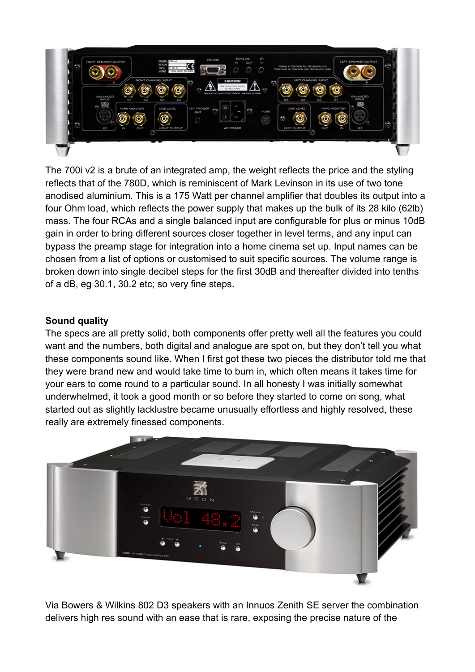

The 700i v2 is a brute of an integrated amp, the weight reflects the price and the styling reflects that of the 780D, which is reminiscent of Mark Levinson in its use of two tone anodised aluminium. This is a 175 Watt per channel amplifier that doubles its output into a four Ohm load, which reflects the power supply that makes up the bulk of its 28 kilo (62lb) mass. The four RCAs and a single balanced input are configurable for plus or minus 10dB gain in order to bring different sources closer together in level terms, and any input can bypass the preamp stage for integration into a home cinema set up. Input names can be chosen from a list of options or customised to suit specific sources. The volume range is broken down into single decibel steps for the first 30dB and thereafter divided into tenths of a dB, eg 30.1, 30.2 etc; so very fine steps.

## **Sound quality**

The specs are all pretty solid, both components offer pretty well all the features you could want and the numbers, both digital and analogue are spot on, but they don't tell you what these components sound like. When I first got these two pieces the distributor told me that they were brand new and would take time to burn in, which often means it takes time for your ears to come round to a particular sound. In all honesty I was initially somewhat underwhelmed, it took a good month or so before they started to come on song, what started out as slightly lacklustre became unusually effortless and highly resolved, these really are extremely finessed components.



Via Bowers & Wilkins 802 D3 speakers with an Innuos Zenith SE server the combination delivers high res sound with an ease that is rare, exposing the precise nature of the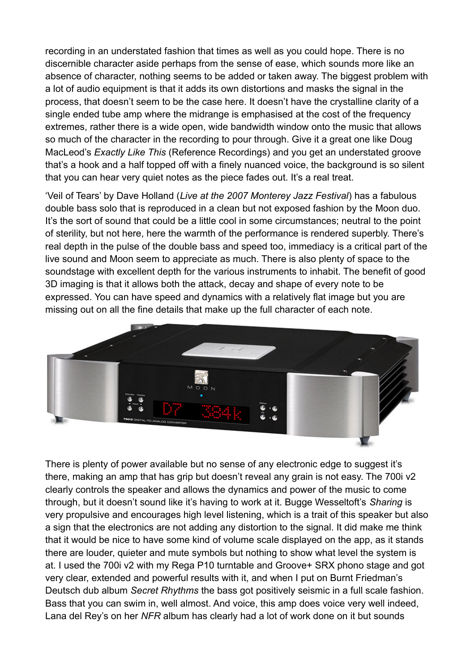recording in an understated fashion that times as well as you could hope. There is no discernible character aside perhaps from the sense of ease, which sounds more like an absence of character, nothing seems to be added or taken away. The biggest problem with a lot of audio equipment is that it adds its own distortions and masks the signal in the process, that doesn't seem to be the case here. It doesn't have the crystalline clarity of a single ended tube amp where the midrange is emphasised at the cost of the frequency extremes, rather there is a wide open, wide bandwidth window onto the music that allows so much of the character in the recording to pour through. Give it a great one like Doug MacLeod's *Exactly Like This* (Reference Recordings) and you get an understated groove that's a hook and a half topped off with a finely nuanced voice, the background is so silent that you can hear very quiet notes as the piece fades out. It's a real treat.

'Veil of Tears' by Dave Holland (*Live at the 2007 Monterey Jazz Festival*) has a fabulous double bass solo that is reproduced in a clean but not exposed fashion by the Moon duo. It's the sort of sound that could be a little cool in some circumstances; neutral to the point of sterility, but not here, here the warmth of the performance is rendered superbly. There's real depth in the pulse of the double bass and speed too, immediacy is a critical part of the live sound and Moon seem to appreciate as much. There is also plenty of space to the soundstage with excellent depth for the various instruments to inhabit. The benefit of good 3D imaging is that it allows both the attack, decay and shape of every note to be expressed. You can have speed and dynamics with a relatively flat image but you are missing out on all the fine details that make up the full character of each note.



There is plenty of power available but no sense of any electronic edge to suggest it's there, making an amp that has grip but doesn't reveal any grain is not easy. The 700i v2 clearly controls the speaker and allows the dynamics and power of the music to come through, but it doesn't sound like it's having to work at it. Bugge Wesseltoft's *Sharing* is very propulsive and encourages high level listening, which is a trait of this speaker but also a sign that the electronics are not adding any distortion to the signal. It did make me think that it would be nice to have some kind of volume scale displayed on the app, as it stands there are louder, quieter and mute symbols but nothing to show what level the system is at. I used the 700i v2 with my Rega P10 turntable and Groove+ SRX phono stage and got very clear, extended and powerful results with it, and when I put on Burnt Friedman's Deutsch dub album *Secret Rhythms* the bass got positively seismic in a full scale fashion. Bass that you can swim in, well almost. And voice, this amp does voice very well indeed, Lana del Rey's on her *NFR* album has clearly had a lot of work done on it but sounds